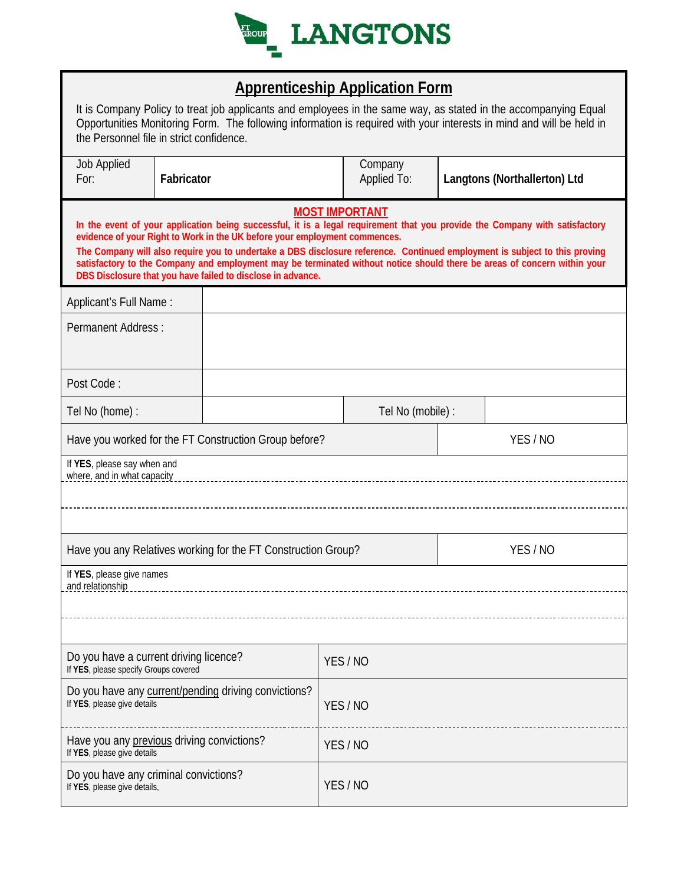

| <b>Apprenticeship Application Form</b> |
|----------------------------------------|
|----------------------------------------|

It is Company Policy to treat job applicants and employees in the same way, as stated in the accompanying Equal Opportunities Monitoring Form. The following information is required with your interests in mind and will be held in the Personnel file in strict confidence.

| Job Applied                                                                                                                                                                                                                                                                                                                                                                                                                                                                                                                                                 |  |            |          | Company           |                              |  |  |
|-------------------------------------------------------------------------------------------------------------------------------------------------------------------------------------------------------------------------------------------------------------------------------------------------------------------------------------------------------------------------------------------------------------------------------------------------------------------------------------------------------------------------------------------------------------|--|------------|----------|-------------------|------------------------------|--|--|
| For:                                                                                                                                                                                                                                                                                                                                                                                                                                                                                                                                                        |  | Fabricator |          | Applied To:       | Langtons (Northallerton) Ltd |  |  |
| <b>MOST IMPORTANT</b><br>In the event of your application being successful, it is a legal requirement that you provide the Company with satisfactory<br>evidence of your Right to Work in the UK before your employment commences.<br>The Company will also require you to undertake a DBS disclosure reference. Continued employment is subject to this proving<br>satisfactory to the Company and employment may be terminated without notice should there be areas of concern within your<br>DBS Disclosure that you have failed to disclose in advance. |  |            |          |                   |                              |  |  |
| Applicant's Full Name:                                                                                                                                                                                                                                                                                                                                                                                                                                                                                                                                      |  |            |          |                   |                              |  |  |
| <b>Permanent Address:</b>                                                                                                                                                                                                                                                                                                                                                                                                                                                                                                                                   |  |            |          |                   |                              |  |  |
| Post Code:                                                                                                                                                                                                                                                                                                                                                                                                                                                                                                                                                  |  |            |          |                   |                              |  |  |
| Tel No (home) :                                                                                                                                                                                                                                                                                                                                                                                                                                                                                                                                             |  |            |          | Tel No (mobile) : |                              |  |  |
| Have you worked for the FT Construction Group before?                                                                                                                                                                                                                                                                                                                                                                                                                                                                                                       |  |            |          | YES / NO          |                              |  |  |
| If YES, please say when and<br>where, and in what capacity                                                                                                                                                                                                                                                                                                                                                                                                                                                                                                  |  |            |          |                   |                              |  |  |
|                                                                                                                                                                                                                                                                                                                                                                                                                                                                                                                                                             |  |            |          |                   |                              |  |  |
| Have you any Relatives working for the FT Construction Group?                                                                                                                                                                                                                                                                                                                                                                                                                                                                                               |  |            |          | YES / NO          |                              |  |  |
| If YES, please give names<br>and relationship                                                                                                                                                                                                                                                                                                                                                                                                                                                                                                               |  |            |          |                   |                              |  |  |
|                                                                                                                                                                                                                                                                                                                                                                                                                                                                                                                                                             |  |            |          |                   |                              |  |  |
| Do you have a current driving licence?<br>If YES, please specify Groups covered                                                                                                                                                                                                                                                                                                                                                                                                                                                                             |  |            | YES / NO |                   |                              |  |  |
| Do you have any current/pending driving convictions?<br>If YES, please give details                                                                                                                                                                                                                                                                                                                                                                                                                                                                         |  |            | YES / NO |                   |                              |  |  |
| Have you any previous driving convictions?<br>If YES, please give details                                                                                                                                                                                                                                                                                                                                                                                                                                                                                   |  |            | YES / NO |                   |                              |  |  |
| Do you have any criminal convictions?<br>If YES, please give details,                                                                                                                                                                                                                                                                                                                                                                                                                                                                                       |  |            |          | YES / NO          |                              |  |  |